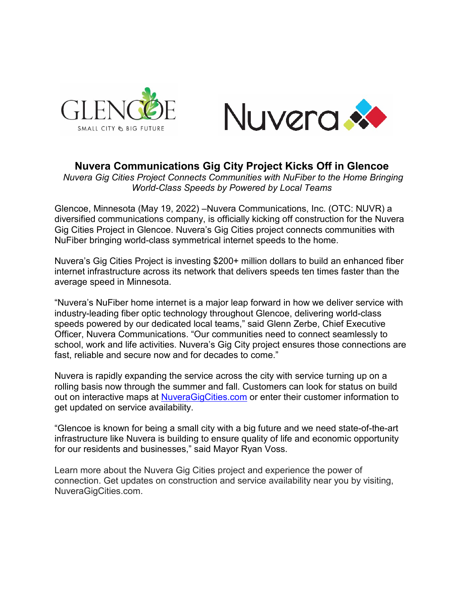



## **Nuvera Communications Gig City Project Kicks Off in Glencoe**

*Nuvera Gig Cities Project Connects Communities with NuFiber to the Home Bringing World-Class Speeds by Powered by Local Teams*

Glencoe, Minnesota (May 19, 2022) –Nuvera Communications, Inc. (OTC: NUVR) a diversified communications company, is officially kicking off construction for the Nuvera Gig Cities Project in Glencoe. Nuvera's Gig Cities project connects communities with NuFiber bringing world-class symmetrical internet speeds to the home.

Nuvera's Gig Cities Project is investing \$200+ million dollars to build an enhanced fiber internet infrastructure across its network that delivers speeds ten times faster than the average speed in Minnesota.

"Nuvera's NuFiber home internet is a major leap forward in how we deliver service with industry-leading fiber optic technology throughout Glencoe, delivering world-class speeds powered by our dedicated local teams," said Glenn Zerbe, Chief Executive Officer, Nuvera Communications. "Our communities need to connect seamlessly to school, work and life activities. Nuvera's Gig City project ensures those connections are fast, reliable and secure now and for decades to come."

Nuvera is rapidly expanding the service across the city with service turning up on a rolling basis now through the summer and fall. Customers can look for status on build out on interactive maps at [NuveraGigCities.com](http://nuveragigcities.com/) or enter their customer information to get updated on service availability.

"Glencoe is known for being a small city with a big future and we need state-of-the-art infrastructure like Nuvera is building to ensure quality of life and economic opportunity for our residents and businesses," said Mayor Ryan Voss.

Learn more about the Nuvera Gig Cities project and experience the power of connection. Get updates on construction and service availability near you by visiting, NuveraGigCities.com.